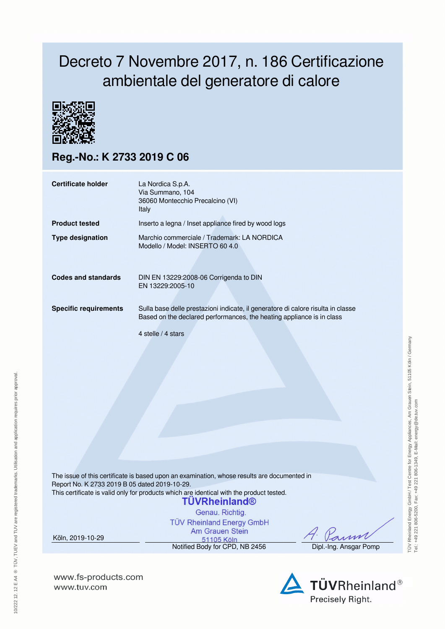## Decreto 7 Novembre 2017, n. 186 Certificazione ambientale del generatore di calore



**Reg.-No.: K 2733 2019 C 06**

| Certificate holder           | La Nordica S.p.A.<br>Via Summano, 104<br>36060 Montecchio Precalcino (VI)<br>Italy                                                                                              |
|------------------------------|---------------------------------------------------------------------------------------------------------------------------------------------------------------------------------|
| <b>Product tested</b>        | Inserto a legna / Inset appliance fired by wood logs                                                                                                                            |
| <b>Type designation</b>      | Marchio commerciale / Trademark: LA NORDICA<br>Modello / Model: INSERTO 60 4.0                                                                                                  |
| Codes and standards          | DIN EN 13229:2008-06 Corrigenda to DIN<br>EN 13229:2005-10                                                                                                                      |
| <b>Specific requirements</b> | Sulla base delle prestazioni indicate, il generatore di calore risulta in classe<br>Based on the declared performances, the heating appliance is in class<br>4 stelle / 4 stars |

The issue of this certificate is based upon an examination, whose results are documented in Report No. K 2733 2019 B 05 dated 2019-10-29. This certificate is valid only for products which are identical with the product tested.

## **TUVRheinland®**

Genau, Richtig. **TÜV Rheinland Energy GmbH** Am Grauen Stein

Köln, 2019-10-29

51105 Köln Notified Body for CPD, NB 2456 Dipl.-Ing. Ansgar Pomp



**www.fs-products.com** www.tuv.com